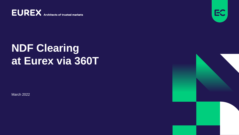**EUREX** Architects of trusted markets



## **NDF Clearing at Eurex via 360T**

March 2022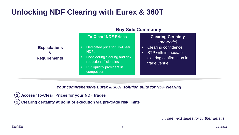### **Unlocking NDF Clearing with Eurex & 360T**

|                                                            | <b>Buy-Side Community</b>                                                                                                                                            |                                                                                                    |
|------------------------------------------------------------|----------------------------------------------------------------------------------------------------------------------------------------------------------------------|----------------------------------------------------------------------------------------------------|
|                                                            | 'To-Clear' NDF Prices                                                                                                                                                | <b>Clearing Certainty</b><br>(pre-trade)                                                           |
| <b>Expectations</b><br>$\mathbf{g}$<br><b>Requirements</b> | Dedicated price for 'To-Clear'<br>п<br><b>NDFs</b><br>Considering clearing and risk<br>п<br>reduction efficiencies<br>Put liquidity providers in<br>п<br>competition | <b>Clearing confidence</b><br><b>STP</b> with immediate<br>clearing confirmation in<br>trade venue |

*Your comprehensive Eurex & 360T solution suite for NDF clearing* 

✓ **Access 'To-Clear' Prices for your NDF trades 1**

✓ **Clearing certainty at point of execution via pre-trade risk limits 2**

*… see next slides for further details*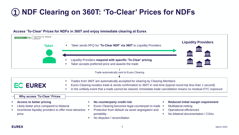## **NDF Clearing on 360T: 'To-Clear' Prices for NDFs 1**

#### **Access 'To-Clear' Prices for NDFs in 360T and enjoy immediate clearing at Eurex**

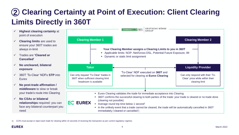### **Clearing Certainty at Point of Execution: Client Clearing 2 Limits Directly in 360T**

- ✓ **Highest clearing certainty** at point of execution
- ✓ **Clearing limits** are used to ensure your 360T trades are always in-limit
- ✓ Trades are **'Cleared or Cancelled'**
- ✓ **No uncleared, bilateral exposure**
- ✓ 360T 'To-Clear' NDFs **STP** into **Eurex**
- ✓ **No post-trade affirmation / middleware** to slow or break your trade's route into Clearing
- ✓ **No CSAs or bilateral relationships** required: you can face any bilateral counterpart you need



1) CCPs must accept or reject each trade for clearing within 10 seconds of receiving the transaction as per current regulatory regimes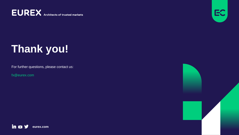**EUREX** Architects of trusted markets



# **Thank you!**

For further questions, please contact us:

fx@eurex.com



in o y **eurex.com**